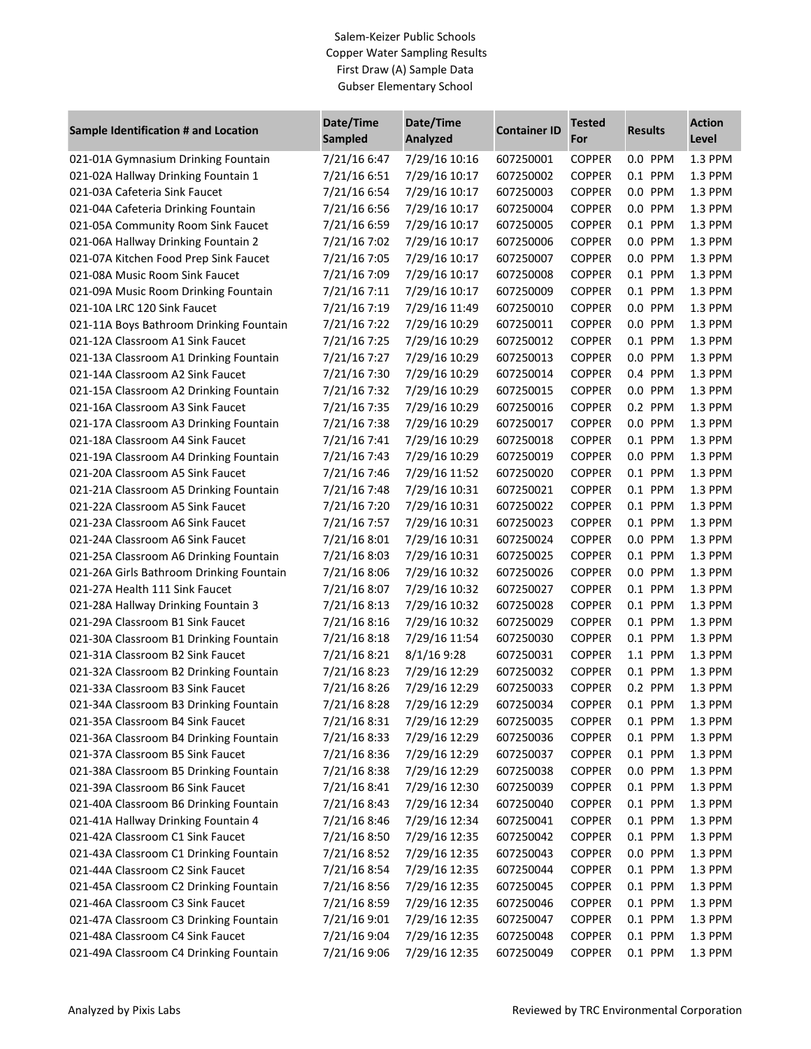## Salem-Keizer Public Schools Copper Water Sampling Results First Draw (A) Sample Data Gubser Elementary School

| Sample Identification # and Location     | Date/Time<br><b>Sampled</b> | Date/Time<br><b>Analyzed</b> | <b>Container ID</b> | <b>Tested</b><br>For | <b>Results</b> | <b>Action</b><br>Level |
|------------------------------------------|-----------------------------|------------------------------|---------------------|----------------------|----------------|------------------------|
| 021-01A Gymnasium Drinking Fountain      | 7/21/16 6:47                | 7/29/16 10:16                | 607250001           | <b>COPPER</b>        | 0.0 PPM        | 1.3 PPM                |
| 021-02A Hallway Drinking Fountain 1      | 7/21/16 6:51                | 7/29/16 10:17                | 607250002           | <b>COPPER</b>        | 0.1 PPM        | 1.3 PPM                |
| 021-03A Cafeteria Sink Faucet            | 7/21/16 6:54                | 7/29/16 10:17                | 607250003           | <b>COPPER</b>        | 0.0 PPM        | 1.3 PPM                |
| 021-04A Cafeteria Drinking Fountain      | 7/21/16 6:56                | 7/29/16 10:17                | 607250004           | <b>COPPER</b>        | 0.0 PPM        | 1.3 PPM                |
| 021-05A Community Room Sink Faucet       | 7/21/16 6:59                | 7/29/16 10:17                | 607250005           | <b>COPPER</b>        | 0.1 PPM        | 1.3 PPM                |
| 021-06A Hallway Drinking Fountain 2      | 7/21/16 7:02                | 7/29/16 10:17                | 607250006           | <b>COPPER</b>        | 0.0 PPM        | 1.3 PPM                |
| 021-07A Kitchen Food Prep Sink Faucet    | 7/21/16 7:05                | 7/29/16 10:17                | 607250007           | <b>COPPER</b>        | 0.0 PPM        | 1.3 PPM                |
| 021-08A Music Room Sink Faucet           | 7/21/16 7:09                | 7/29/16 10:17                | 607250008           | <b>COPPER</b>        | 0.1 PPM        | 1.3 PPM                |
| 021-09A Music Room Drinking Fountain     | 7/21/16 7:11                | 7/29/16 10:17                | 607250009           | <b>COPPER</b>        | 0.1 PPM        | 1.3 PPM                |
| 021-10A LRC 120 Sink Faucet              | 7/21/16 7:19                | 7/29/16 11:49                | 607250010           | <b>COPPER</b>        | 0.0 PPM        | 1.3 PPM                |
| 021-11A Boys Bathroom Drinking Fountain  | 7/21/16 7:22                | 7/29/16 10:29                | 607250011           | <b>COPPER</b>        | 0.0 PPM        | 1.3 PPM                |
| 021-12A Classroom A1 Sink Faucet         | 7/21/16 7:25                | 7/29/16 10:29                | 607250012           | <b>COPPER</b>        | 0.1 PPM        | 1.3 PPM                |
| 021-13A Classroom A1 Drinking Fountain   | 7/21/16 7:27                | 7/29/16 10:29                | 607250013           | <b>COPPER</b>        | 0.0 PPM        | 1.3 PPM                |
| 021-14A Classroom A2 Sink Faucet         | 7/21/16 7:30                | 7/29/16 10:29                | 607250014           | <b>COPPER</b>        | 0.4 PPM        | 1.3 PPM                |
| 021-15A Classroom A2 Drinking Fountain   | 7/21/16 7:32                | 7/29/16 10:29                | 607250015           | <b>COPPER</b>        | 0.0 PPM        | 1.3 PPM                |
| 021-16A Classroom A3 Sink Faucet         | 7/21/16 7:35                | 7/29/16 10:29                | 607250016           | <b>COPPER</b>        | 0.2 PPM        | 1.3 PPM                |
| 021-17A Classroom A3 Drinking Fountain   | 7/21/16 7:38                | 7/29/16 10:29                | 607250017           | <b>COPPER</b>        | 0.0 PPM        | 1.3 PPM                |
| 021-18A Classroom A4 Sink Faucet         | 7/21/16 7:41                | 7/29/16 10:29                | 607250018           | <b>COPPER</b>        | 0.1 PPM        | 1.3 PPM                |
| 021-19A Classroom A4 Drinking Fountain   | 7/21/16 7:43                | 7/29/16 10:29                | 607250019           | <b>COPPER</b>        | 0.0 PPM        | 1.3 PPM                |
| 021-20A Classroom A5 Sink Faucet         | 7/21/16 7:46                | 7/29/16 11:52                | 607250020           | <b>COPPER</b>        | 0.1 PPM        | 1.3 PPM                |
| 021-21A Classroom A5 Drinking Fountain   | 7/21/16 7:48                | 7/29/16 10:31                | 607250021           | <b>COPPER</b>        | 0.1 PPM        | 1.3 PPM                |
| 021-22A Classroom A5 Sink Faucet         | 7/21/16 7:20                | 7/29/16 10:31                | 607250022           | <b>COPPER</b>        | 0.1 PPM        | 1.3 PPM                |
| 021-23A Classroom A6 Sink Faucet         | 7/21/16 7:57                | 7/29/16 10:31                | 607250023           | <b>COPPER</b>        | 0.1 PPM        | 1.3 PPM                |
| 021-24A Classroom A6 Sink Faucet         | 7/21/16 8:01                | 7/29/16 10:31                | 607250024           | <b>COPPER</b>        | 0.0 PPM        | 1.3 PPM                |
| 021-25A Classroom A6 Drinking Fountain   | 7/21/16 8:03                | 7/29/16 10:31                | 607250025           | <b>COPPER</b>        | 0.1 PPM        | 1.3 PPM                |
| 021-26A Girls Bathroom Drinking Fountain | 7/21/16 8:06                | 7/29/16 10:32                | 607250026           | <b>COPPER</b>        | 0.0 PPM        | 1.3 PPM                |
| 021-27A Health 111 Sink Faucet           | 7/21/16 8:07                | 7/29/16 10:32                | 607250027           | <b>COPPER</b>        | 0.1 PPM        | 1.3 PPM                |
| 021-28A Hallway Drinking Fountain 3      | 7/21/16 8:13                | 7/29/16 10:32                | 607250028           | <b>COPPER</b>        | 0.1 PPM        | 1.3 PPM                |
| 021-29A Classroom B1 Sink Faucet         | 7/21/16 8:16                | 7/29/16 10:32                | 607250029           | <b>COPPER</b>        | 0.1 PPM        | 1.3 PPM                |
| 021-30A Classroom B1 Drinking Fountain   | 7/21/168:18                 | 7/29/16 11:54                | 607250030           | <b>COPPER</b>        | 0.1 PPM        | 1.3 PPM                |
| 021-31A Classroom B2 Sink Faucet         | 7/21/16 8:21                | 8/1/16 9:28                  | 607250031           | <b>COPPER</b>        | 1.1 PPM        | 1.3 PPM                |
| 021-32A Classroom B2 Drinking Fountain   | 7/21/168:23                 | 7/29/16 12:29                | 607250032           | <b>COPPER</b>        | 0.1 PPM        | 1.3 PPM                |
| 021-33A Classroom B3 Sink Faucet         | 7/21/16 8:26                | 7/29/16 12:29                | 607250033           | <b>COPPER</b>        | 0.2 PPM        | 1.3 PPM                |
| 021-34A Classroom B3 Drinking Fountain   | 7/21/16 8:28                | 7/29/16 12:29                | 607250034           | <b>COPPER</b>        | 0.1 PPM        | 1.3 PPM                |
| 021-35A Classroom B4 Sink Faucet         | 7/21/168:31                 | 7/29/16 12:29                | 607250035           | <b>COPPER</b>        | 0.1 PPM        | 1.3 PPM                |
| 021-36A Classroom B4 Drinking Fountain   | 7/21/16 8:33                | 7/29/16 12:29                | 607250036           | <b>COPPER</b>        | 0.1 PPM        | 1.3 PPM                |
| 021-37A Classroom B5 Sink Faucet         | 7/21/16 8:36                | 7/29/16 12:29                | 607250037           | <b>COPPER</b>        | 0.1 PPM        | 1.3 PPM                |
| 021-38A Classroom B5 Drinking Fountain   | 7/21/16 8:38                | 7/29/16 12:29                | 607250038           | <b>COPPER</b>        | 0.0 PPM        | 1.3 PPM                |
| 021-39A Classroom B6 Sink Faucet         | 7/21/16 8:41                | 7/29/16 12:30                | 607250039           | <b>COPPER</b>        | 0.1 PPM        | 1.3 PPM                |
| 021-40A Classroom B6 Drinking Fountain   | 7/21/16 8:43                | 7/29/16 12:34                | 607250040           | <b>COPPER</b>        | 0.1 PPM        | 1.3 PPM                |
| 021-41A Hallway Drinking Fountain 4      | 7/21/16 8:46                | 7/29/16 12:34                | 607250041           | <b>COPPER</b>        | 0.1 PPM        | 1.3 PPM                |
| 021-42A Classroom C1 Sink Faucet         | 7/21/16 8:50                | 7/29/16 12:35                | 607250042           | <b>COPPER</b>        | 0.1 PPM        | 1.3 PPM                |
| 021-43A Classroom C1 Drinking Fountain   | 7/21/16 8:52                | 7/29/16 12:35                | 607250043           | <b>COPPER</b>        | 0.0 PPM        | 1.3 PPM                |
| 021-44A Classroom C2 Sink Faucet         | 7/21/16 8:54                | 7/29/16 12:35                | 607250044           | <b>COPPER</b>        | 0.1 PPM        | 1.3 PPM                |
| 021-45A Classroom C2 Drinking Fountain   | 7/21/16 8:56                | 7/29/16 12:35                | 607250045           | <b>COPPER</b>        | 0.1 PPM        | 1.3 PPM                |
| 021-46A Classroom C3 Sink Faucet         | 7/21/16 8:59                | 7/29/16 12:35                | 607250046           | <b>COPPER</b>        | 0.1 PPM        | 1.3 PPM                |
| 021-47A Classroom C3 Drinking Fountain   | 7/21/16 9:01                | 7/29/16 12:35                | 607250047           | <b>COPPER</b>        | 0.1 PPM        | 1.3 PPM                |
| 021-48A Classroom C4 Sink Faucet         | 7/21/16 9:04                | 7/29/16 12:35                | 607250048           | <b>COPPER</b>        | 0.1 PPM        | 1.3 PPM                |
| 021-49A Classroom C4 Drinking Fountain   | 7/21/16 9:06                | 7/29/16 12:35                | 607250049           | <b>COPPER</b>        | 0.1 PPM        | 1.3 PPM                |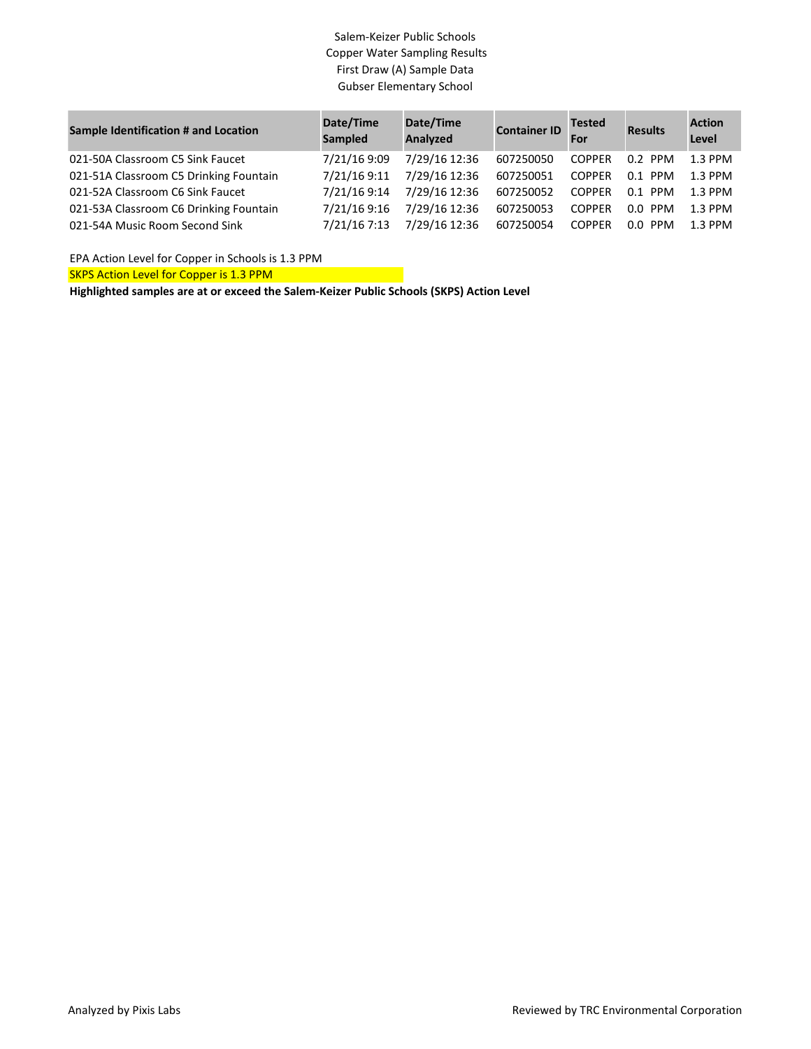## Salem-Keizer Public Schools Copper Water Sampling Results First Draw (A) Sample Data Gubser Elementary School

| Sample Identification # and Location   | Date/Time<br><b>Sampled</b> | Date/Time<br>Analyzed | <b>Container ID</b> | <b>Tested</b><br>For | <b>Results</b> | <b>Action</b><br>Level |
|----------------------------------------|-----------------------------|-----------------------|---------------------|----------------------|----------------|------------------------|
| 021-50A Classroom C5 Sink Faucet       | 7/21/16 9:09                | 7/29/16 12:36         | 607250050           | <b>COPPER</b>        | $0.2$ PPM      | $1.3$ PPM              |
| 021-51A Classroom C5 Drinking Fountain | 7/21/16 9:11                | 7/29/16 12:36         | 607250051           | <b>COPPER</b>        | $0.1$ PPM      | 1.3 PPM                |
| 021-52A Classroom C6 Sink Faucet       | 7/21/16 9:14                | 7/29/16 12:36         | 607250052           | <b>COPPER</b>        | $0.1$ PPM      | $1.3$ PPM              |
| 021-53A Classroom C6 Drinking Fountain | 7/21/16 9:16                | 7/29/16 12:36         | 607250053           | <b>COPPER</b>        | $0.0$ PPM      | 1.3 PPM                |
| 021-54A Music Room Second Sink         | 7/21/16 7:13                | 7/29/16 12:36         | 607250054           | <b>COPPER</b>        | $0.0$ PPM      | $1.3$ PPM              |

EPA Action Level for Copper in Schools is 1.3 PPM

SKPS Action Level for Copper is 1.3 PPM

**Highlighted samples are at or exceed the Salem-Keizer Public Schools (SKPS) Action Level**